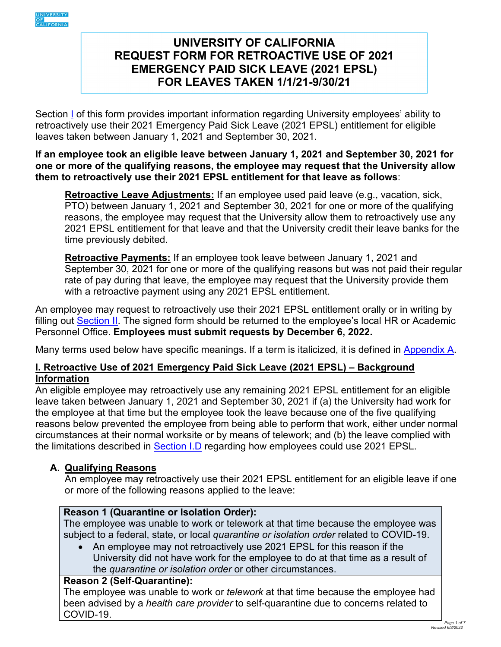<span id="page-0-0"></span>

# **REQUEST FORM FOR RETROACTIVE USE OF 2021 EMERGENCY PAID SICK LEAVE (2021 EPSL) FOR LEAVES TAKEN 1/1/21-9/30/21 UNIVERSITY OF CALIFORNIA**

 retroactively use their 2021 Emergency Paid Sick Leave (2021 EPSL) entitlement for eligible leaves taken between January 1, 2021 and September 30, 2021. Section I of this form provides important information regarding University employees' ability to

#### **If an employee took an eligible leave between January 1, 2021 and September 30, 2021 for one or more of the qualifying reasons, the employee may request that the University allow them to retroactively use their 2021 EPSL entitlement for that leave as follows**:

**Retroactive Leave Adjustments:** If an employee used paid leave (e.g., vacation, sick, PTO) between January 1, 2021 and September 30, 2021 for one or more of the qualifying reasons, the employee may request that the University allow them to retroactively use any 2021 EPSL entitlement for that leave and that the University credit their leave banks for the time previously debited.

with a retroactive payment using any 2021 EPSL entitlement. **Retroactive Payments:** If an employee took leave between January 1, 2021 and September 30, 2021 for one or more of the qualifying reasons but was not paid their regular rate of pay during that leave, the employee may request that the University provide them

with a retroactive payment using any 2021 EPSL entitlement.<br>An employee may request to retroactively use their 2021 EPSL entitlement orally or in writing by filling out [Section II.](#page-3-0) The signed form should be returned to the employee's local HR or Academic Personnel Office. **Employees must submit requests by December 6, 2022.** 

Many terms used below have specific meanings. If a term is italicized, it is defined in [Appendix A.](#page-5-0)

# **I. Retroactive Use of 2021 Emergency Paid Sick Leave (2021 EPSL) – Background Information**

 the employee at that time but the employee took the leave because one of the five qualifying reasons below prevented the employee from being able to perform that work, either under normal circumstances at their normal worksite or by means of telework; and (b) the leave complied with An eligible employee may retroactively use any remaining 2021 EPSL entitlement for an eligible leave taken between January 1, 2021 and September 30, 2021 if (a) the University had work for the limitations described in [Section I.D](#page-1-0) regarding how employees could use 2021 EPSL.

# **A. Qualifying Reasons**

 An employee may retroactively use their 2021 EPSL entitlement for an eligible leave if one or more of the following reasons applied to the leave:

# **Reason 1 (Quarantine or Isolation Order):**

 The employee was unable to work or telework at that time because the employee was subject to a federal, state, or local *quarantine or isolation order* related to COVID-19.

• An employee may not retroactively use 2021 EPSL for this reason if the University did not have work for the employee to do at that time as a result of the *quarantine or isolation order* or other circumstances.

#### **Reason 2 (Self-Quarantine):**

The employee was unable to work or *telework* at that time because the employee had been advised by a *health care provider* to self-quarantine due to concerns related to COVID-19.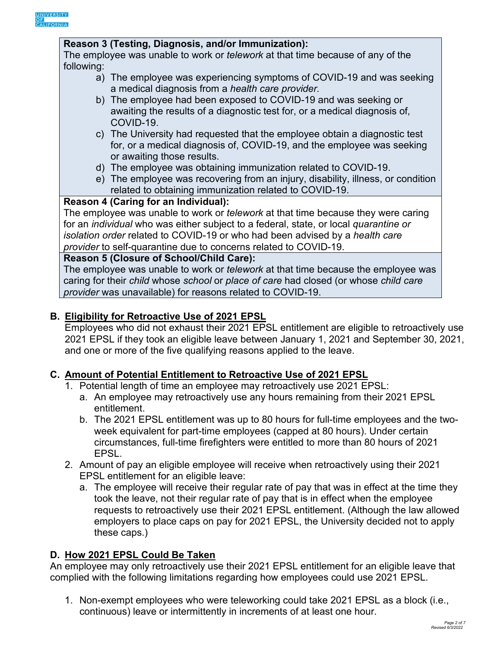<span id="page-1-0"></span>

#### **Reason 3 (Testing, Diagnosis, and/or Immunization):**

 The employee was unable to work or *telework* at that time because of any of the following:

- a) The employee was experiencing symptoms of COVID-19 and was seeking a medical diagnosis from a *health care provider.*
- awaiting the results of a diagnostic test for, or a medical diagnosis of, b) The employee had been exposed to COVID-19 and was seeking or COVID-19.
- c) The University had requested that the employee obtain a diagnostic test for, or a medical diagnosis of, COVID-19, and the employee was seeking or awaiting those results.
- d) The employee was obtaining immunization related to COVID-19.
- e) The employee was recovering from an injury, disability, illness, or condition related to obtaining immunization related to COVID-19.

### **Reason 4 (Caring for an Individual):**

 for an *individual* who was either subject to a federal, state, or local *quarantine or provider* to self-quarantine due to concerns related to COVID-19. The employee was unable to work or *telework* at that time because they were caring *isolation order* related to COVID-19 or who had been advised by a *health care* 

#### **Reason 5 (Closure of School/Child Care):**

 caring for their *child* whose *school* or *place of care* had closed (or whose *child care*  The employee was unable to work or *telework* at that time because the employee was *provider* was unavailable) for reasons related to COVID-19.

### **B. Eligibility for Retroactive Use of 2021 EPSL**

 and one or more of the five qualifying reasons applied to the leave. Employees who did not exhaust their 2021 EPSL entitlement are eligible to retroactively use 2021 EPSL if they took an eligible leave between January 1, 2021 and September 30, 2021,

#### **C. Amount of Potential Entitlement to Retroactive Use of 2021 EPSL**

- 1. Potential length of time an employee may retroactively use 2021 EPSL:
	- a. An employee may retroactively use any hours remaining from their 2021 EPSL entitlement.
	- b. The 2021 EPSL entitlement was up to 80 hours for full-time employees and the twoweek equivalent for part-time employees (capped at 80 hours). Under certain circumstances, full-time firefighters were entitled to more than 80 hours of 2021 EPSL.
- 2. Amount of pay an eligible employee will receive when retroactively using their 2021 EPSL entitlement for an eligible leave:
	- took the leave, not their regular rate of pay that is in effect when the employee a. The employee will receive their regular rate of pay that was in effect at the time they requests to retroactively use their 2021 EPSL entitlement. (Although the law allowed employers to place caps on pay for 2021 EPSL, the University decided not to apply these caps.)

# **D. How 2021 EPSL Could Be Taken**

 An employee may only retroactively use their 2021 EPSL entitlement for an eligible leave that complied with the following limitations regarding how employees could use 2021 EPSL.

 1. Non-exempt employees who were teleworking could take 2021 EPSL as a block (i.e., continuous) leave or intermittently in increments of at least one hour.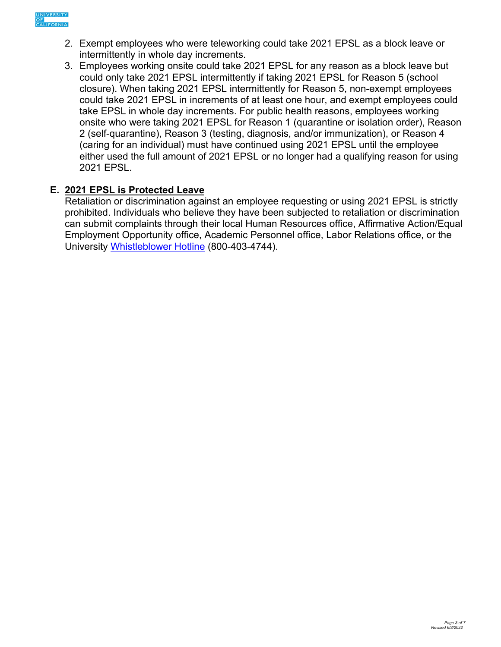- 2. Exempt employees who were teleworking could take 2021 EPSL as a block leave or intermittently in whole day increments.
- could take 2021 EPSL in increments of at least one hour, and exempt employees could 3. Employees working onsite could take 2021 EPSL for any reason as a block leave but could only take 2021 EPSL intermittently if taking 2021 EPSL for Reason 5 (school closure). When taking 2021 EPSL intermittently for Reason 5, non-exempt employees take EPSL in whole day increments. For public health reasons, employees working onsite who were taking 2021 EPSL for Reason 1 (quarantine or isolation order), Reason 2 (self-quarantine), Reason 3 (testing, diagnosis, and/or immunization), or Reason 4 (caring for an individual) must have continued using 2021 EPSL until the employee either used the full amount of 2021 EPSL or no longer had a qualifying reason for using 2021 EPSL.

# **E. 2021 EPSL is Protected Leave**

 prohibited. Individuals who believe they have been subjected to retaliation or discrimination Retaliation or discrimination against an employee requesting or using 2021 EPSL is strictly can submit complaints through their local Human Resources office, Affirmative Action/Equal Employment Opportunity office, Academic Personnel office, Labor Relations office, or the University [Whistleblower Hotline](https://secure.ethicspoint.com/domain/media/en/gui/23531/index.html) (800-403-4744).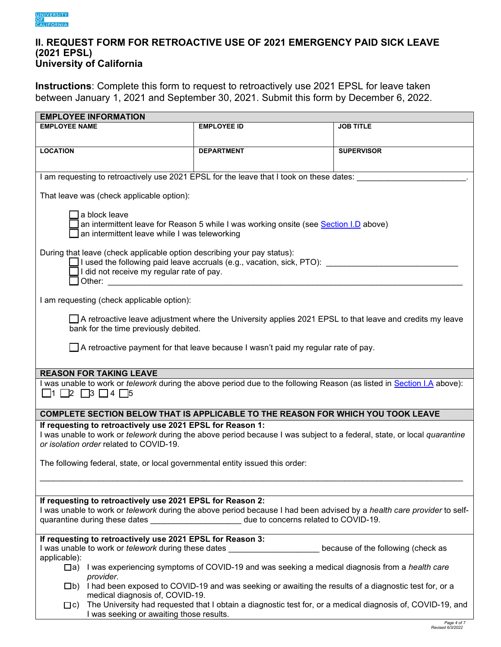#### <span id="page-3-0"></span>**II. REQUEST FORM FOR RETROACTIVE USE OF 2021 EMERGENCY PAID SICK LEAVE (2021 EPSL) University of California**

 **Instructions**: Complete this form to request to retroactively use 2021 EPSL for leave taken between January 1, 2021 and September 30, 2021. Submit this form by December 6, 2022.

| <b>EMPLOYEE INFORMATION</b>                                                                                                                                                                                                                                                                                                                                                                            |                                                                                                            |                   |  |  |  |  |  |
|--------------------------------------------------------------------------------------------------------------------------------------------------------------------------------------------------------------------------------------------------------------------------------------------------------------------------------------------------------------------------------------------------------|------------------------------------------------------------------------------------------------------------|-------------------|--|--|--|--|--|
| <b>EMPLOYEE NAME</b>                                                                                                                                                                                                                                                                                                                                                                                   | <b>EMPLOYEE ID</b>                                                                                         | <b>JOB TITLE</b>  |  |  |  |  |  |
|                                                                                                                                                                                                                                                                                                                                                                                                        |                                                                                                            |                   |  |  |  |  |  |
| <b>LOCATION</b>                                                                                                                                                                                                                                                                                                                                                                                        | <b>DEPARTMENT</b>                                                                                          | <b>SUPERVISOR</b> |  |  |  |  |  |
|                                                                                                                                                                                                                                                                                                                                                                                                        |                                                                                                            |                   |  |  |  |  |  |
|                                                                                                                                                                                                                                                                                                                                                                                                        |                                                                                                            |                   |  |  |  |  |  |
| I am requesting to retroactively use 2021 EPSL for the leave that I took on these dates:                                                                                                                                                                                                                                                                                                               |                                                                                                            |                   |  |  |  |  |  |
| That leave was (check applicable option):                                                                                                                                                                                                                                                                                                                                                              |                                                                                                            |                   |  |  |  |  |  |
| a block leave<br>an intermittent leave for Reason 5 while I was working onsite (see Section I.D above)<br>an intermittent leave while I was teleworking                                                                                                                                                                                                                                                |                                                                                                            |                   |  |  |  |  |  |
| During that leave (check applicable option describing your pay status):                                                                                                                                                                                                                                                                                                                                |                                                                                                            |                   |  |  |  |  |  |
| $\Box$ I used the following paid leave accruals (e.g., vacation, sick, PTO):<br>I did not receive my regular rate of pay.<br>Other: when the contract of the contract of the contract of the contract of the contract of the contract of the contract of the contract of the contract of the contract of the contract of the contract of the contract of th                                            |                                                                                                            |                   |  |  |  |  |  |
| I am requesting (check applicable option):                                                                                                                                                                                                                                                                                                                                                             |                                                                                                            |                   |  |  |  |  |  |
|                                                                                                                                                                                                                                                                                                                                                                                                        |                                                                                                            |                   |  |  |  |  |  |
| □ A retroactive leave adjustment where the University applies 2021 EPSL to that leave and credits my leave<br>bank for the time previously debited.                                                                                                                                                                                                                                                    |                                                                                                            |                   |  |  |  |  |  |
|                                                                                                                                                                                                                                                                                                                                                                                                        |                                                                                                            |                   |  |  |  |  |  |
|                                                                                                                                                                                                                                                                                                                                                                                                        | $\Box$ A retroactive payment for that leave because I wasn't paid my regular rate of pay.                  |                   |  |  |  |  |  |
| <b>REASON FOR TAKING LEAVE</b>                                                                                                                                                                                                                                                                                                                                                                         |                                                                                                            |                   |  |  |  |  |  |
| I was unable to work or <i>telework</i> during the above period due to the following Reason (as listed in <b>Section I.A</b> above):<br>$\Box$ 1 $\Box$ 2 $\Box$ 3 $\Box$ 4 $\Box$ 5                                                                                                                                                                                                                   |                                                                                                            |                   |  |  |  |  |  |
|                                                                                                                                                                                                                                                                                                                                                                                                        |                                                                                                            |                   |  |  |  |  |  |
| COMPLETE SECTION BELOW THAT IS APPLICABLE TO THE REASON FOR WHICH YOU TOOK LEAVE                                                                                                                                                                                                                                                                                                                       |                                                                                                            |                   |  |  |  |  |  |
| If requesting to retroactively use 2021 EPSL for Reason 1:<br>I was unable to work or <i>telework</i> during the above period because I was subject to a federal, state, or local quarantine<br>or isolation order related to COVID-19.                                                                                                                                                                |                                                                                                            |                   |  |  |  |  |  |
|                                                                                                                                                                                                                                                                                                                                                                                                        |                                                                                                            |                   |  |  |  |  |  |
| The following federal, state, or local governmental entity issued this order:                                                                                                                                                                                                                                                                                                                          |                                                                                                            |                   |  |  |  |  |  |
|                                                                                                                                                                                                                                                                                                                                                                                                        |                                                                                                            |                   |  |  |  |  |  |
| If requesting to retroactively use 2021 EPSL for Reason 2:                                                                                                                                                                                                                                                                                                                                             |                                                                                                            |                   |  |  |  |  |  |
| I was unable to work or telework during the above period because I had been advised by a health care provider to self-<br>quarantine during these dates <b>contains the set of the set of the set of the set of the set of the set of the set of the set of the set of the set of the set of the set of the set of the set of the set of the set of the se</b><br>due to concerns related to COVID-19. |                                                                                                            |                   |  |  |  |  |  |
|                                                                                                                                                                                                                                                                                                                                                                                                        |                                                                                                            |                   |  |  |  |  |  |
| If requesting to retroactively use 2021 EPSL for Reason 3:                                                                                                                                                                                                                                                                                                                                             |                                                                                                            |                   |  |  |  |  |  |
| I was unable to work or telework during these dates ____________________________<br>because of the following (check as                                                                                                                                                                                                                                                                                 |                                                                                                            |                   |  |  |  |  |  |
| applicable):                                                                                                                                                                                                                                                                                                                                                                                           |                                                                                                            |                   |  |  |  |  |  |
| provider.                                                                                                                                                                                                                                                                                                                                                                                              | □a) I was experiencing symptoms of COVID-19 and was seeking a medical diagnosis from a health care         |                   |  |  |  |  |  |
| $\Box$ b) I had been exposed to COVID-19 and was seeking or awaiting the results of a diagnostic test for, or a<br>medical diagnosis of, COVID-19.                                                                                                                                                                                                                                                     |                                                                                                            |                   |  |  |  |  |  |
| $\Box$ c)<br>I was seeking or awaiting those results.                                                                                                                                                                                                                                                                                                                                                  | The University had requested that I obtain a diagnostic test for, or a medical diagnosis of, COVID-19, and |                   |  |  |  |  |  |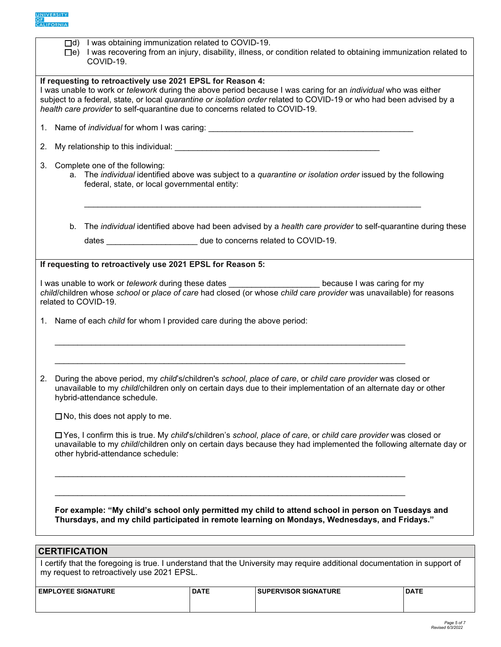

|                                                                                                                                                                                                                                                                                                                                                                                                                                                                                                                                                                               |                                                                                                                                                                                                                                                                                                                                                    | □d) I was obtaining immunization related to COVID-19.<br>COVID-19.    |             | □e) I was recovering from an injury, disability, illness, or condition related to obtaining immunization related to |             |  |  |  |  |
|-------------------------------------------------------------------------------------------------------------------------------------------------------------------------------------------------------------------------------------------------------------------------------------------------------------------------------------------------------------------------------------------------------------------------------------------------------------------------------------------------------------------------------------------------------------------------------|----------------------------------------------------------------------------------------------------------------------------------------------------------------------------------------------------------------------------------------------------------------------------------------------------------------------------------------------------|-----------------------------------------------------------------------|-------------|---------------------------------------------------------------------------------------------------------------------|-------------|--|--|--|--|
| If requesting to retroactively use 2021 EPSL for Reason 4:<br>I was unable to work or <i>telework</i> during the above period because I was caring for an <i>individual</i> who was either<br>subject to a federal, state, or local quarantine or isolation order related to COVID-19 or who had been advised by a<br>health care provider to self-quarantine due to concerns related to COVID-19.                                                                                                                                                                            |                                                                                                                                                                                                                                                                                                                                                    |                                                                       |             |                                                                                                                     |             |  |  |  |  |
|                                                                                                                                                                                                                                                                                                                                                                                                                                                                                                                                                                               |                                                                                                                                                                                                                                                                                                                                                    |                                                                       |             |                                                                                                                     |             |  |  |  |  |
| 2.                                                                                                                                                                                                                                                                                                                                                                                                                                                                                                                                                                            |                                                                                                                                                                                                                                                                                                                                                    |                                                                       |             |                                                                                                                     |             |  |  |  |  |
| 3.                                                                                                                                                                                                                                                                                                                                                                                                                                                                                                                                                                            | Complete one of the following:<br>a. The individual identified above was subject to a quarantine or isolation order issued by the following<br>federal, state, or local governmental entity:                                                                                                                                                       |                                                                       |             |                                                                                                                     |             |  |  |  |  |
|                                                                                                                                                                                                                                                                                                                                                                                                                                                                                                                                                                               | b.                                                                                                                                                                                                                                                                                                                                                 |                                                                       |             | The individual identified above had been advised by a health care provider to self-quarantine during these          |             |  |  |  |  |
|                                                                                                                                                                                                                                                                                                                                                                                                                                                                                                                                                                               |                                                                                                                                                                                                                                                                                                                                                    | dates __________________________ due to concerns related to COVID-19. |             |                                                                                                                     |             |  |  |  |  |
| I was unable to work or <i>telework</i> during these dates _______________________ because I was caring for my<br>child/children whose school or place of care had closed (or whose child care provider was unavailable) for reasons<br>related to COVID-19.<br>1. Name of each child for whom I provided care during the above period:<br>During the above period, my child's/children's school, place of care, or child care provider was closed or<br>2.<br>unavailable to my child/children only on certain days due to their implementation of an alternate day or other |                                                                                                                                                                                                                                                                                                                                                    |                                                                       |             |                                                                                                                     |             |  |  |  |  |
|                                                                                                                                                                                                                                                                                                                                                                                                                                                                                                                                                                               | hybrid-attendance schedule.<br>$\Box$ No, this does not apply to me.<br>□ Yes, I confirm this is true. My child's/children's school, place of care, or child care provider was closed or<br>unavailable to my child/children only on certain days because they had implemented the following alternate day or<br>other hybrid-attendance schedule: |                                                                       |             |                                                                                                                     |             |  |  |  |  |
| For example: "My child's school only permitted my child to attend school in person on Tuesdays and<br>Thursdays, and my child participated in remote learning on Mondays, Wednesdays, and Fridays."                                                                                                                                                                                                                                                                                                                                                                           |                                                                                                                                                                                                                                                                                                                                                    |                                                                       |             |                                                                                                                     |             |  |  |  |  |
| <b>CERTIFICATION</b><br>I certify that the foregoing is true. I understand that the University may require additional documentation in support of                                                                                                                                                                                                                                                                                                                                                                                                                             |                                                                                                                                                                                                                                                                                                                                                    |                                                                       |             |                                                                                                                     |             |  |  |  |  |
| my request to retroactively use 2021 EPSL.                                                                                                                                                                                                                                                                                                                                                                                                                                                                                                                                    |                                                                                                                                                                                                                                                                                                                                                    |                                                                       |             |                                                                                                                     |             |  |  |  |  |
|                                                                                                                                                                                                                                                                                                                                                                                                                                                                                                                                                                               |                                                                                                                                                                                                                                                                                                                                                    | <b>EMPLOYEE SIGNATURE</b>                                             | <b>DATE</b> | <b>SUPERVISOR SIGNATURE</b>                                                                                         | <b>DATE</b> |  |  |  |  |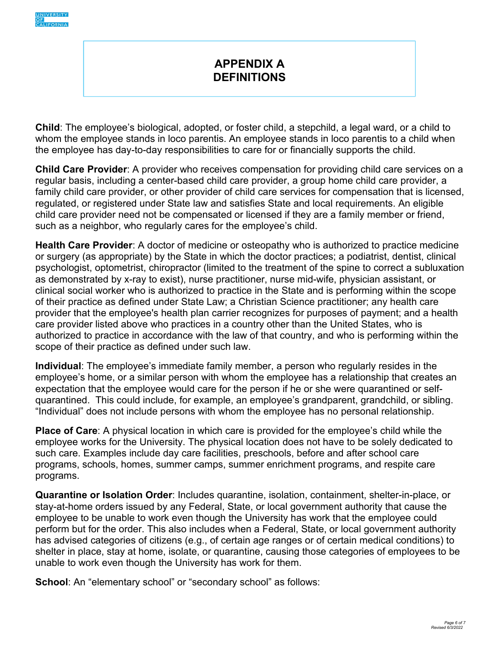<span id="page-5-0"></span>

# **APPENDIX A DEFINITIONS**

**Child**: The employee's biological, adopted, or foster child, a stepchild, a legal ward, or a child to whom the employee stands in loco parentis. An employee stands in loco parentis to a child when the employee has day-to-day responsibilities to care for or financially supports the child.

 child care provider need not be compensated or licensed if they are a family member or friend, **Child Care Provider**: A provider who receives compensation for providing child care services on a regular basis, including a center-based child care provider, a group home child care provider, a family child care provider, or other provider of child care services for compensation that is licensed, regulated, or registered under State law and satisfies State and local requirements. An eligible such as a neighbor, who regularly cares for the employee's child.

 as demonstrated by x-ray to exist), nurse practitioner, nurse mid-wife, physician assistant, or **Health Care Provider**: A doctor of medicine or osteopathy who is authorized to practice medicine or surgery (as appropriate) by the State in which the doctor practices; a podiatrist, dentist, clinical psychologist, optometrist, chiropractor (limited to the treatment of the spine to correct a subluxation clinical social worker who is authorized to practice in the State and is performing within the scope of their practice as defined under State Law; a Christian Science practitioner; any health care provider that the employee's health plan carrier recognizes for purposes of payment; and a health care provider listed above who practices in a country other than the United States, who is authorized to practice in accordance with the law of that country, and who is performing within the scope of their practice as defined under such law.

 quarantined. This could include, for example, an employee's grandparent, grandchild, or sibling. "Individual" does not include persons with whom the employee has no personal relationship. **Individual**: The employee's immediate family member, a person who regularly resides in the employee's home, or a similar person with whom the employee has a relationship that creates an expectation that the employee would care for the person if he or she were quarantined or self-

 employee works for the University. The physical location does not have to be solely dedicated to **Place of Care**: A physical location in which care is provided for the employee's child while the such care. Examples include day care facilities, preschools, before and after school care programs, schools, homes, summer camps, summer enrichment programs, and respite care programs.

 perform but for the order. This also includes when a Federal, State, or local government authority **Quarantine or Isolation Order**: Includes quarantine, isolation, containment, shelter-in-place, or stay-at-home orders issued by any Federal, State, or local government authority that cause the employee to be unable to work even though the University has work that the employee could has advised categories of citizens (e.g., of certain age ranges or of certain medical conditions) to shelter in place, stay at home, isolate, or quarantine, causing those categories of employees to be unable to work even though the University has work for them.

**School**: An "elementary school" or "secondary school" as follows: